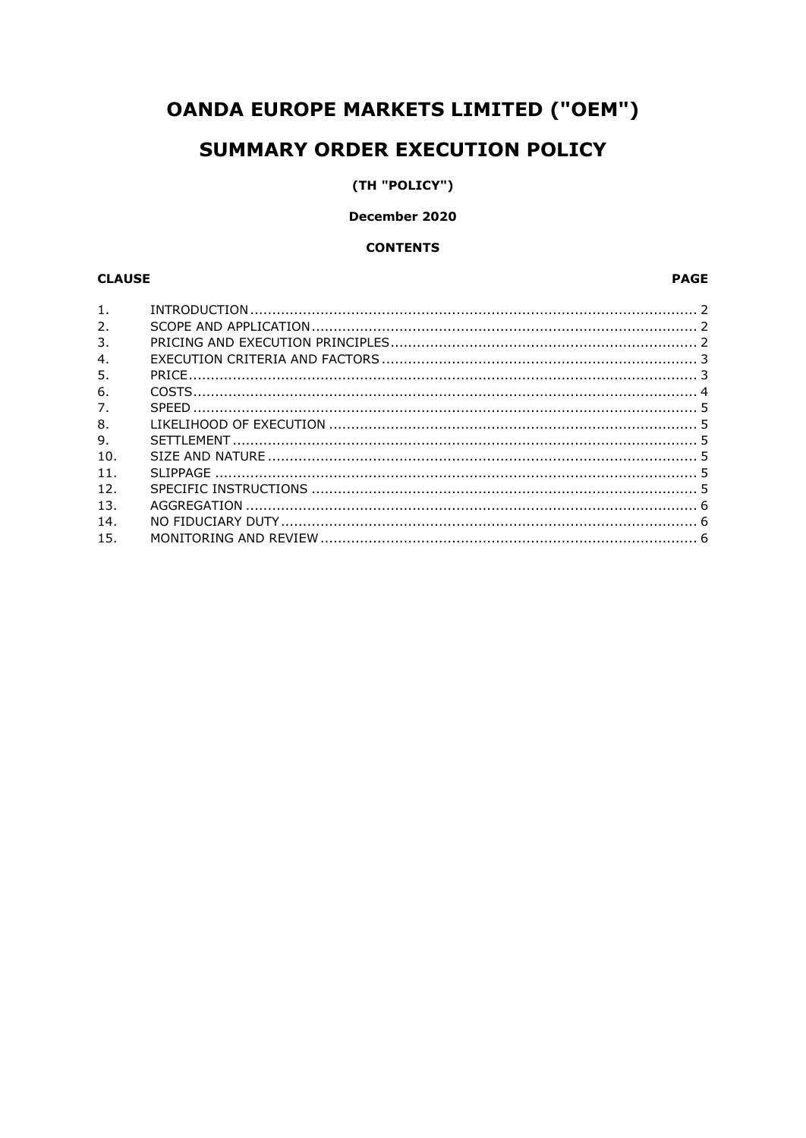# **OANDA EUROPE MARKETS LIMITED ("OEM")**

## SUMMARY ORDER EXECUTION POLICY

## (TH "POLICY")

## December 2020

#### **CONTENTS**

## **CLAUSE**

## **PAGE**

| $\mathbf{1}$ . |  |
|----------------|--|
| 2.             |  |
| 3.             |  |
| 4.             |  |
| 5.             |  |
| 6.             |  |
| 7.             |  |
| 8.             |  |
| 9.             |  |
| 10.            |  |
| 11.            |  |
| 12.            |  |
| 13.            |  |
| 14.            |  |
| 15.            |  |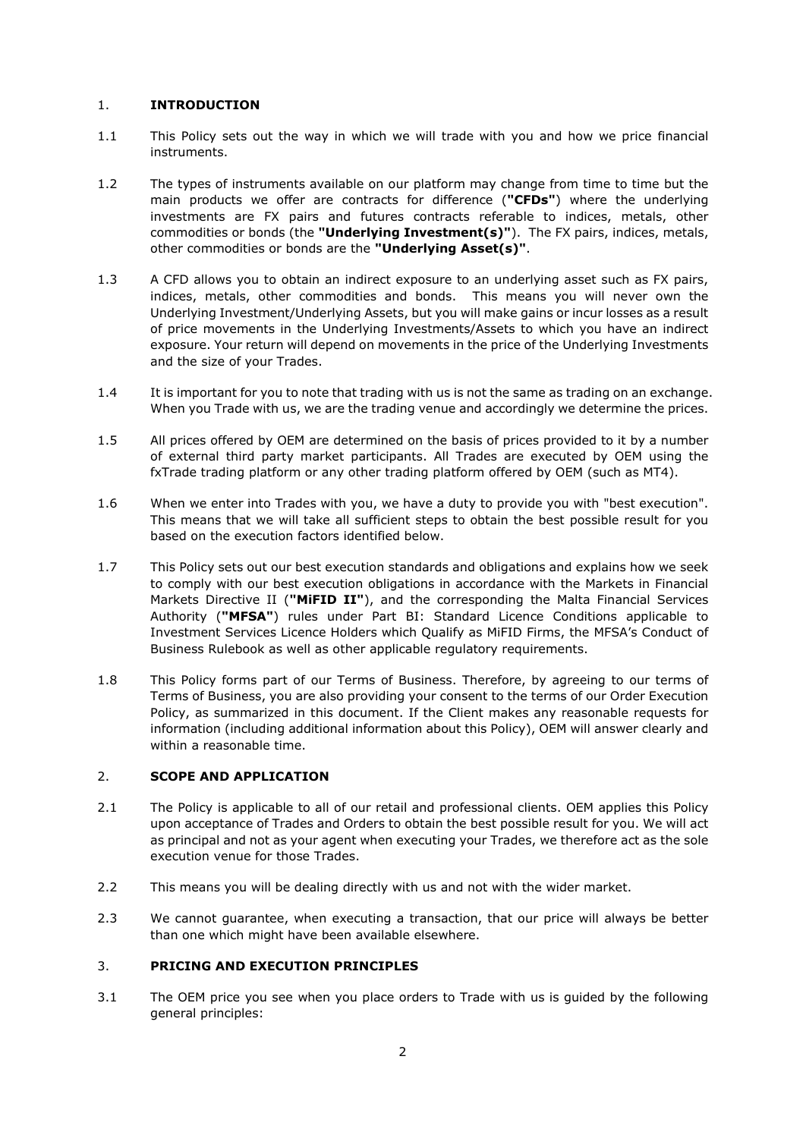#### 1. **INTRODUCTION**

- 1.1 This Policy sets out the way in which we will trade with you and how we price financial instruments.
- 1.2 The types of instruments available on our platform may change from time to time but the main products we offer are contracts for difference (**"CFDs"**) where the underlying investments are FX pairs and futures contracts referable to indices, metals, other commodities or bonds (the **"Underlying Investment(s)"**). The FX pairs, indices, metals, other commodities or bonds are the **"Underlying Asset(s)"**.
- 1.3 A CFD allows you to obtain an indirect exposure to an underlying asset such as FX pairs, indices, metals, other commodities and bonds. This means you will never own the Underlying Investment/Underlying Assets, but you will make gains or incur losses as a result of price movements in the Underlying Investments/Assets to which you have an indirect exposure. Your return will depend on movements in the price of the Underlying Investments and the size of your Trades.
- 1.4 It is important for you to note that trading with us is not the same as trading on an exchange. When you Trade with us, we are the trading venue and accordingly we determine the prices.
- 1.5 All prices offered by OEM are determined on the basis of prices provided to it by a number of external third party market participants. All Trades are executed by OEM using the fxTrade trading platform or any other trading platform offered by OEM (such as MT4).
- 1.6 When we enter into Trades with you, we have a duty to provide you with "best execution". This means that we will take all sufficient steps to obtain the best possible result for you based on the execution factors identified below.
- 1.7 This Policy sets out our best execution standards and obligations and explains how we seek to comply with our best execution obligations in accordance with the Markets in Financial Markets Directive II (**"MiFID II"**), and the corresponding the Malta Financial Services Authority (**"MFSA"**) rules under Part BI: Standard Licence Conditions applicable to Investment Services Licence Holders which Qualify as MiFID Firms, the MFSA's Conduct of Business Rulebook as well as other applicable regulatory requirements.
- 1.8 This Policy forms part of our Terms of Business. Therefore, by agreeing to our terms of Terms of Business, you are also providing your consent to the terms of our Order Execution Policy, as summarized in this document. If the Client makes any reasonable requests for information (including additional information about this Policy), OEM will answer clearly and within a reasonable time.

#### 2. **SCOPE AND APPLICATION**

- 2.1 The Policy is applicable to all of our retail and professional clients. OEM applies this Policy upon acceptance of Trades and Orders to obtain the best possible result for you. We will act as principal and not as your agent when executing your Trades, we therefore act as the sole execution venue for those Trades.
- 2.2 This means you will be dealing directly with us and not with the wider market.
- 2.3 We cannot guarantee, when executing a transaction, that our price will always be better than one which might have been available elsewhere.

## 3. **PRICING AND EXECUTION PRINCIPLES**

3.1 The OEM price you see when you place orders to Trade with us is guided by the following general principles: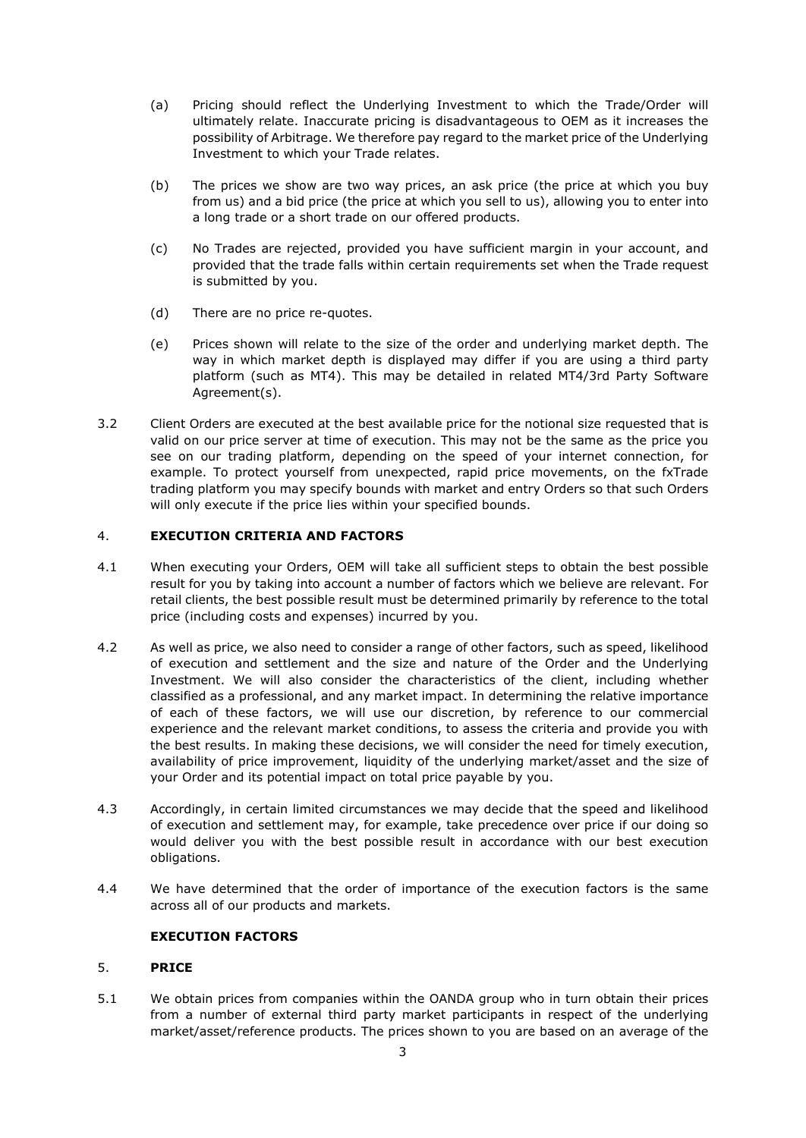- (a) Pricing should reflect the Underlying Investment to which the Trade/Order will ultimately relate. Inaccurate pricing is disadvantageous to OEM as it increases the possibility of Arbitrage. We therefore pay regard to the market price of the Underlying Investment to which your Trade relates.
- (b) The prices we show are two way prices, an ask price (the price at which you buy from us) and a bid price (the price at which you sell to us), allowing you to enter into a long trade or a short trade on our offered products.
- (c) No Trades are rejected, provided you have sufficient margin in your account, and provided that the trade falls within certain requirements set when the Trade request is submitted by you.
- (d) There are no price re-quotes.
- (e) Prices shown will relate to the size of the order and underlying market depth. The way in which market depth is displayed may differ if you are using a third party platform (such as MT4). This may be detailed in related MT4/3rd Party Software Agreement(s).
- 3.2 Client Orders are executed at the best available price for the notional size requested that is valid on our price server at time of execution. This may not be the same as the price you see on our trading platform, depending on the speed of your internet connection, for example. To protect yourself from unexpected, rapid price movements, on the fxTrade trading platform you may specify bounds with market and entry Orders so that such Orders will only execute if the price lies within your specified bounds.

#### 4. **EXECUTION CRITERIA AND FACTORS**

- 4.1 When executing your Orders, OEM will take all sufficient steps to obtain the best possible result for you by taking into account a number of factors which we believe are relevant. For retail clients, the best possible result must be determined primarily by reference to the total price (including costs and expenses) incurred by you.
- 4.2 As well as price, we also need to consider a range of other factors, such as speed, likelihood of execution and settlement and the size and nature of the Order and the Underlying Investment. We will also consider the characteristics of the client, including whether classified as a professional, and any market impact. In determining the relative importance of each of these factors, we will use our discretion, by reference to our commercial experience and the relevant market conditions, to assess the criteria and provide you with the best results. In making these decisions, we will consider the need for timely execution, availability of price improvement, liquidity of the underlying market/asset and the size of your Order and its potential impact on total price payable by you.
- 4.3 Accordingly, in certain limited circumstances we may decide that the speed and likelihood of execution and settlement may, for example, take precedence over price if our doing so would deliver you with the best possible result in accordance with our best execution obligations.
- 4.4 We have determined that the order of importance of the execution factors is the same across all of our products and markets.

## **EXECUTION FACTORS**

#### 5. **PRICE**

5.1 We obtain prices from companies within the OANDA group who in turn obtain their prices from a number of external third party market participants in respect of the underlying market/asset/reference products. The prices shown to you are based on an average of the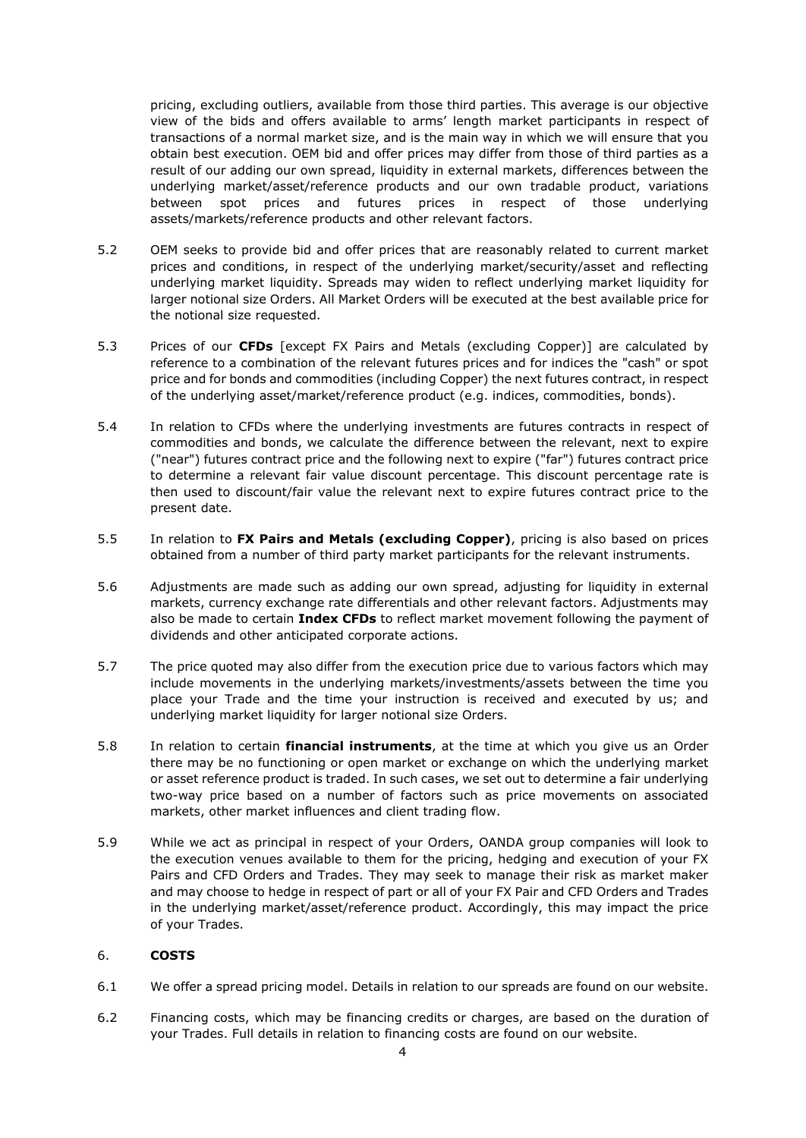pricing, excluding outliers, available from those third parties. This average is our objective view of the bids and offers available to arms' length market participants in respect of transactions of a normal market size, and is the main way in which we will ensure that you obtain best execution. OEM bid and offer prices may differ from those of third parties as a result of our adding our own spread, liquidity in external markets, differences between the underlying market/asset/reference products and our own tradable product, variations between spot prices and futures prices in respect of those underlying assets/markets/reference products and other relevant factors.

- 5.2 OEM seeks to provide bid and offer prices that are reasonably related to current market prices and conditions, in respect of the underlying market/security/asset and reflecting underlying market liquidity. Spreads may widen to reflect underlying market liquidity for larger notional size Orders. All Market Orders will be executed at the best available price for the notional size requested.
- 5.3 Prices of our **CFDs** [except FX Pairs and Metals (excluding Copper)] are calculated by reference to a combination of the relevant futures prices and for indices the "cash" or spot price and for bonds and commodities (including Copper) the next futures contract, in respect of the underlying asset/market/reference product (e.g. indices, commodities, bonds).
- 5.4 In relation to CFDs where the underlying investments are futures contracts in respect of commodities and bonds, we calculate the difference between the relevant, next to expire ("near") futures contract price and the following next to expire ("far") futures contract price to determine a relevant fair value discount percentage. This discount percentage rate is then used to discount/fair value the relevant next to expire futures contract price to the present date.
- 5.5 In relation to **FX Pairs and Metals (excluding Copper)**, pricing is also based on prices obtained from a number of third party market participants for the relevant instruments.
- 5.6 Adjustments are made such as adding our own spread, adjusting for liquidity in external markets, currency exchange rate differentials and other relevant factors. Adjustments may also be made to certain **Index CFDs** to reflect market movement following the payment of dividends and other anticipated corporate actions.
- 5.7 The price quoted may also differ from the execution price due to various factors which may include movements in the underlying markets/investments/assets between the time you place your Trade and the time your instruction is received and executed by us; and underlying market liquidity for larger notional size Orders.
- 5.8 In relation to certain **financial instruments**, at the time at which you give us an Order there may be no functioning or open market or exchange on which the underlying market or asset reference product is traded. In such cases, we set out to determine a fair underlying two-way price based on a number of factors such as price movements on associated markets, other market influences and client trading flow.
- 5.9 While we act as principal in respect of your Orders, OANDA group companies will look to the execution venues available to them for the pricing, hedging and execution of your FX Pairs and CFD Orders and Trades. They may seek to manage their risk as market maker and may choose to hedge in respect of part or all of your FX Pair and CFD Orders and Trades in the underlying market/asset/reference product. Accordingly, this may impact the price of your Trades.

#### 6. **COSTS**

- 6.1 We offer a spread pricing model. Details in relation to our spreads are found on our website.
- 6.2 Financing costs, which may be financing credits or charges, are based on the duration of your Trades. Full details in relation to financing costs are found on our website.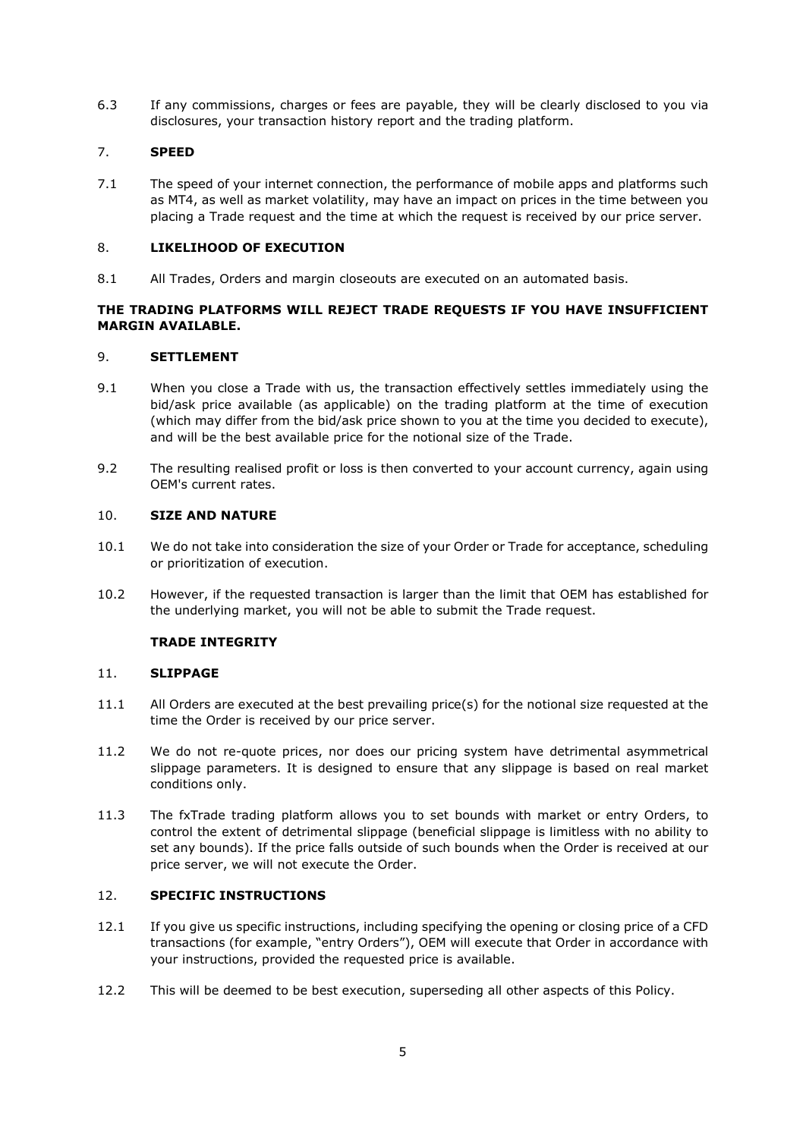6.3 If any commissions, charges or fees are payable, they will be clearly disclosed to you via disclosures, your transaction history report and the trading platform.

#### 7. **SPEED**

7.1 The speed of your internet connection, the performance of mobile apps and platforms such as MT4, as well as market volatility, may have an impact on prices in the time between you placing a Trade request and the time at which the request is received by our price server.

#### 8. **LIKELIHOOD OF EXECUTION**

8.1 All Trades, Orders and margin closeouts are executed on an automated basis.

#### **THE TRADING PLATFORMS WILL REJECT TRADE REQUESTS IF YOU HAVE INSUFFICIENT MARGIN AVAILABLE.**

#### 9. **SETTLEMENT**

- 9.1 When you close a Trade with us, the transaction effectively settles immediately using the bid/ask price available (as applicable) on the trading platform at the time of execution (which may differ from the bid/ask price shown to you at the time you decided to execute), and will be the best available price for the notional size of the Trade.
- 9.2 The resulting realised profit or loss is then converted to your account currency, again using OEM's current rates.

#### 10. **SIZE AND NATURE**

- 10.1 We do not take into consideration the size of your Order or Trade for acceptance, scheduling or prioritization of execution.
- 10.2 However, if the requested transaction is larger than the limit that OEM has established for the underlying market, you will not be able to submit the Trade request.

#### **TRADE INTEGRITY**

#### 11. **SLIPPAGE**

- 11.1 All Orders are executed at the best prevailing price(s) for the notional size requested at the time the Order is received by our price server.
- 11.2 We do not re-quote prices, nor does our pricing system have detrimental asymmetrical slippage parameters. It is designed to ensure that any slippage is based on real market conditions only.
- 11.3 The fxTrade trading platform allows you to set bounds with market or entry Orders, to control the extent of detrimental slippage (beneficial slippage is limitless with no ability to set any bounds). If the price falls outside of such bounds when the Order is received at our price server, we will not execute the Order.

#### 12. **SPECIFIC INSTRUCTIONS**

- 12.1 If you give us specific instructions, including specifying the opening or closing price of a CFD transactions (for example, "entry Orders"), OEM will execute that Order in accordance with your instructions, provided the requested price is available.
- 12.2 This will be deemed to be best execution, superseding all other aspects of this Policy.